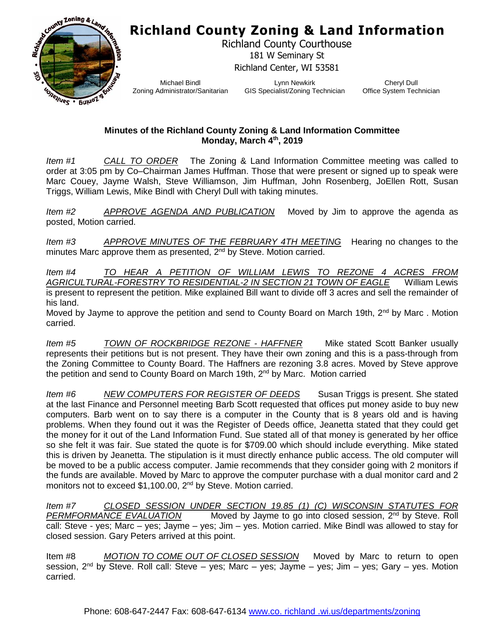## **Richland County Zoning & Land Information**



Richland County Courthouse 181 W Seminary St Richland Center, WI 53581

Michael Bindl Zoning Administrator/Sanitarian

Lynn Newkirk GIS Specialist/Zoning Technician

Cheryl Dull Office System Technician

## **Minutes of the Richland County Zoning & Land Information Committee Monday, March 4th, 2019**

*Item #1 CALL TO ORDER* The Zoning & Land Information Committee meeting was called to order at 3:05 pm by Co–Chairman James Huffman. Those that were present or signed up to speak were Marc Couey, Jayme Walsh, Steve Williamson, Jim Huffman, John Rosenberg, JoEllen Rott, Susan Triggs, William Lewis, Mike Bindl with Cheryl Dull with taking minutes.

*Item #2 APPROVE AGENDA AND PUBLICATION* Moved by Jim to approve the agenda as posted, Motion carried.

*Item #3 APPROVE MINUTES OF THE FEBRUARY 4TH MEETING* Hearing no changes to the minutes Marc approve them as presented, 2<sup>nd</sup> by Steve. Motion carried.

*Item #4 TO HEAR A PETITION OF WILLIAM LEWIS TO REZONE 4 ACRES FROM AGRICULTURAL-FORESTRY TO RESIDENTIAL-2 IN SECTION 21 TOWN OF EAGLE* William Lewis is present to represent the petition. Mike explained Bill want to divide off 3 acres and sell the remainder of his land.

Moved by Jayme to approve the petition and send to County Board on March 19th, 2<sup>nd</sup> by Marc. Motion carried.

*Item #5 TOWN OF ROCKBRIDGE REZONE - HAFFNER* Mike stated Scott Banker usually represents their petitions but is not present. They have their own zoning and this is a pass-through from the Zoning Committee to County Board. The Haffners are rezoning 3.8 acres. Moved by Steve approve the petition and send to County Board on March 19th,  $2<sup>nd</sup>$  by Marc. Motion carried

*Item #6 NEW COMPUTERS FOR REGISTER OF DEEDS* Susan Triggs is present. She stated at the last Finance and Personnel meeting Barb Scott requested that offices put money aside to buy new computers. Barb went on to say there is a computer in the County that is 8 years old and is having problems. When they found out it was the Register of Deeds office, Jeanetta stated that they could get the money for it out of the Land Information Fund. Sue stated all of that money is generated by her office so she felt it was fair. Sue stated the quote is for \$709.00 which should include everything. Mike stated this is driven by Jeanetta. The stipulation is it must directly enhance public access. The old computer will be moved to be a public access computer. Jamie recommends that they consider going with 2 monitors if the funds are available. Moved by Marc to approve the computer purchase with a dual monitor card and 2 monitors not to exceed \$1,100.00, 2<sup>nd</sup> by Steve. Motion carried.

*Item #7 CLOSED SESSION UNDER SECTION 19.85 (1) (C) WISCONSIN STATUTES FOR PERMFORMANCE EVALUATION* Moved by Jayme to go into closed session, 2nd by Steve. Roll call: Steve - yes; Marc – yes; Jayme – yes; Jim – yes. Motion carried. Mike Bindl was allowed to stay for closed session. Gary Peters arrived at this point.

Item #8 *MOTION TO COME OUT OF CLOSED SESSION* Moved by Marc to return to open session, 2nd by Steve. Roll call: Steve – yes; Marc – yes; Jayme – yes; Jim – yes; Gary – yes. Motion carried.